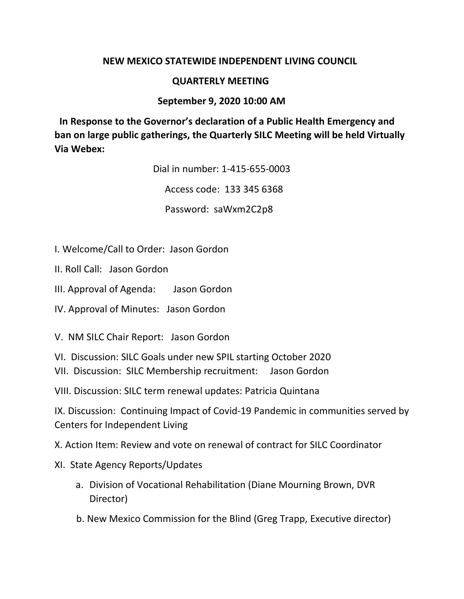## **NEW MEXICO STATEWIDE INDEPENDENT LIVING COUNCIL**

## **QUARTERLY MEETING**

## **September 9, 2020 10:00 AM**

**In Response to the Governor's declaration of a Public Health Emergency and ban on large public gatherings, the Quarterly SILC Meeting will be held Virtually Via Webex:**

Dial in number: 1-415-655-0003

Access code: 133 345 6368

Password: saWxm2C2p8

- I. Welcome/Call to Order: Jason Gordon
- II. Roll Call: Jason Gordon
- III. Approval of Agenda: Jason Gordon
- IV. Approval of Minutes: Jason Gordon

V. NM SILC Chair Report: Jason Gordon

- VI. Discussion: SILC Goals under new SPIL starting October 2020
- VII. Discussion: SILC Membership recruitment: Jason Gordon

VIII. Discussion: SILC term renewal updates: Patricia Quintana

IX. Discussion: Continuing Impact of Covid-19 Pandemic in communities served by Centers for Independent Living

X. Action Item: Review and vote on renewal of contract for SILC Coordinator

## XI. State Agency Reports/Updates

- a. Division of Vocational Rehabilitation (Diane Mourning Brown, DVR Director)
- b. New Mexico Commission for the Blind (Greg Trapp, Executive director)